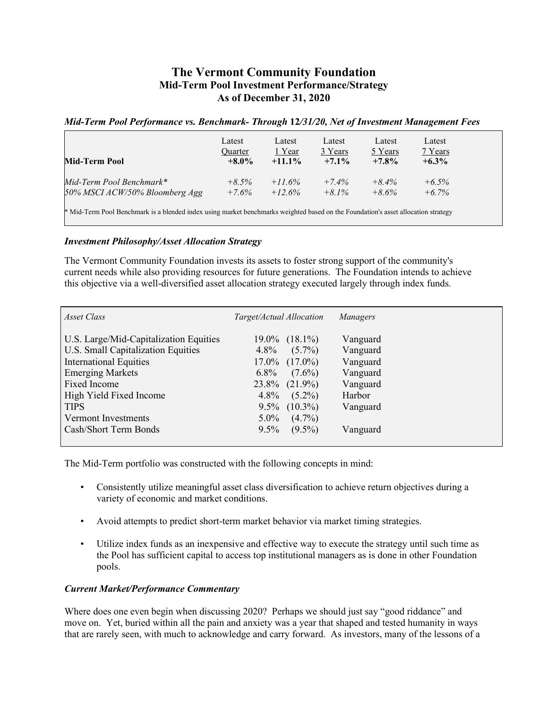## **The Vermont Community Foundation Mid-Term Pool Investment Performance/Strategy As of December 31, 2020**

## *Mid-Term Pool Performance vs. Benchmark- Through* **12***/31/20, Net of Investment Management Fees*

| Mid-Term Pool                                                                                                                     | Latest<br><b>Ouarter</b><br>$+8.0\%$ | Latest<br>1 Year<br>$+11.1%$ | Latest<br>3 Years<br>$+7.1\%$ | Latest<br>5 Years<br>$+7.8%$ | Latest<br>7 Years<br>$+6.3\%$ |  |  |
|-----------------------------------------------------------------------------------------------------------------------------------|--------------------------------------|------------------------------|-------------------------------|------------------------------|-------------------------------|--|--|
| Mid-Term Pool Benchmark*                                                                                                          | $+8.5\%$                             | $+11.6%$                     | $+7.4%$                       | $+8.4\%$                     | $+6.5\%$                      |  |  |
| 50% MSCI ACW/50% Bloomberg Agg                                                                                                    | $+7.6\%$                             | $+12.6%$                     | $+8.1\%$                      | $+8.6\%$                     | $+6.7\%$                      |  |  |
| * Mid-Term Pool Benchmark is a blended index using market benchmarks weighted based on the Foundation's asset allocation strategy |                                      |                              |                               |                              |                               |  |  |

## *Investment Philosophy/Asset Allocation Strategy*

The Vermont Community Foundation invests its assets to foster strong support of the community's current needs while also providing resources for future generations. The Foundation intends to achieve this objective via a well-diversified asset allocation strategy executed largely through index funds.

| Asset Class                            | Target/Actual Allocation | Managers |
|----------------------------------------|--------------------------|----------|
| U.S. Large/Mid-Capitalization Equities | $19.0\%$ $(18.1\%)$      | Vanguard |
| U.S. Small Capitalization Equities     | $(5.7\%)$<br>$4.8\%$     | Vanguard |
| <b>International Equities</b>          | $17.0\%$ $(17.0\%)$      | Vanguard |
| <b>Emerging Markets</b>                | $6.8\%$<br>$(7.6\%)$     | Vanguard |
| <b>Fixed Income</b>                    | $23.8\%$ $(21.9\%)$      | Vanguard |
| High Yield Fixed Income                | $4.8\%$<br>$(5.2\%)$     | Harbor   |
| <b>TIPS</b>                            | $9.5\%$ $(10.3\%)$       | Vanguard |
| Vermont Investments                    | $(4.7\%)$<br>$5.0\%$     |          |
| Cash/Short Term Bonds                  | $(9.5\%)$<br>$9.5\%$     | Vanguard |
|                                        |                          |          |

The Mid-Term portfolio was constructed with the following concepts in mind:

- Consistently utilize meaningful asset class diversification to achieve return objectives during a variety of economic and market conditions.
- Avoid attempts to predict short-term market behavior via market timing strategies.
- Utilize index funds as an inexpensive and effective way to execute the strategy until such time as the Pool has sufficient capital to access top institutional managers as is done in other Foundation pools.

## *Current Market/Performance Commentary*

Where does one even begin when discussing 2020? Perhaps we should just say "good riddance" and move on. Yet, buried within all the pain and anxiety was a year that shaped and tested humanity in ways that are rarely seen, with much to acknowledge and carry forward. As investors, many of the lessons of a